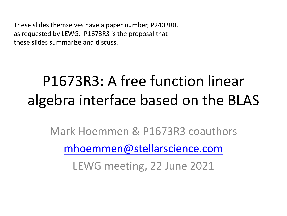These slides themselves have a paper number, P2402R0, as requested by LEWG. P1673R3 is the proposal that these slides summarize and discuss.

#### P1673R3: A free function linear algebra interface based on the BLAS

Mark Hoemmen & P1673R3 coauthors

[mhoemmen@stellarscience.com](mailto:mhoemmen@stellarscience.com)

LEWG meeting, 22 June 2021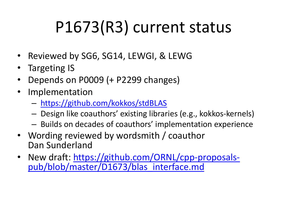# P1673(R3) current status

- Reviewed by SG6, SG14, LEWGI, & LEWG
- Targeting IS
- Depends on P0009 (+ P2299 changes)
- Implementation
	- <https://github.com/kokkos/stdBLAS>
	- Design like coauthors' existing libraries (e.g., kokkos-kernels)
	- Builds on decades of coauthors' implementation experience
- Wording reviewed by wordsmith / coauthor Dan Sunderland
- [New draft: https://github.com/ORNL/cpp-proposals](https://github.com/ORNL/cpp-proposals-pub/blob/master/D1673/blas_interface.md)pub/blob/master/D1673/blas\_interface.md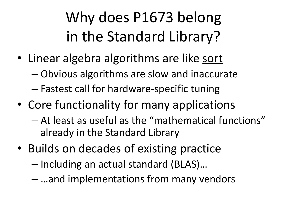#### Why does P1673 belong in the Standard Library?

- Linear algebra algorithms are like sort
	- Obvious algorithms are slow and inaccurate
	- Fastest call for hardware-specific tuning
- Core functionality for many applications
	- At least as useful as the "mathematical functions" already in the Standard Library
- Builds on decades of existing practice
	- Including an actual standard (BLAS)…
	- …and implementations from many vendors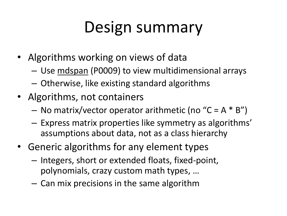#### Design summary

- Algorithms working on views of data
	- Use mdspan (P0009) to view multidimensional arrays
	- Otherwise, like existing standard algorithms
- Algorithms, not containers
	- $-$  No matrix/vector operator arithmetic (no "C = A  $*$  B")
	- Express matrix properties like symmetry as algorithms' assumptions about data, not as a class hierarchy
- Generic algorithms for any element types
	- Integers, short or extended floats, fixed-point, polynomials, crazy custom math types, …
	- Can mix precisions in the same algorithm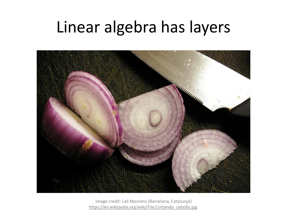#### Linear algebra has layers



Image credit: Lali Masriera (Barcelona, Catalunya) [https://en.wikipedia.org/wiki/File:Cortando\\_cebolla.jpg](https://en.wikipedia.org/wiki/File:Cortando_cebolla.jpg)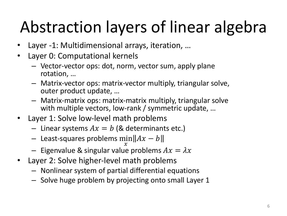# Abstraction layers of linear algebra

- Layer -1: Multidimensional arrays, iteration, ...
- Layer 0: Computational kernels
	- Vector-vector ops: dot, norm, vector sum, apply plane rotation, …
	- Matrix-vector ops: matrix-vector multiply, triangular solve, outer product update, …
	- Matrix-matrix ops: matrix-matrix multiply, triangular solve with multiple vectors, low-rank / symmetric update, ...
- Layer 1: Solve low-level math problems
	- Linear systems  $Ax = b$  (& determinants etc.)
	- Least-squares problems min  $\mathcal{X}$  $Ax-b$
	- Eigenvalue & singular value problems  $Ax = \lambda x$
- Layer 2: Solve higher-level math problems
	- Nonlinear system of partial differential equations
	- Solve huge problem by projecting onto small Layer 1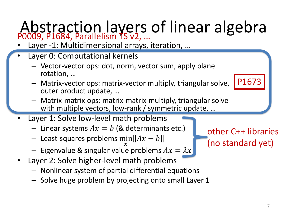#### Abstraction layers of linear algebra P0009, P1684, Parallelism TS v2, …

- Layer -1: Multidimensional arrays, iteration, ...
- Layer 0: Computational kernels
	- Vector-vector ops: dot, norm, vector sum, apply plane rotation, …
	- Matrix-vector ops: matrix-vector multiply, triangular solve, outer product update, …
	- Matrix-matrix ops: matrix-matrix multiply, triangular solve with multiple vectors, low-rank / symmetric update, ...
- Layer 1: Solve low-level math problems
	- Linear systems  $Ax = b$  (& determinants etc.)
	- Least-squares problems min  $\mathcal{X}$  $Ax-b$
	- Eigenvalue & singular value problems  $Ax = \lambda x$
- Layer 2: Solve higher-level math problems
	- Nonlinear system of partial differential equations
	- Solve huge problem by projecting onto small Layer 1

other C++ libraries (no standard yet)

P1673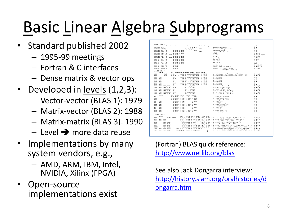# Basic Linear Algebra Subprograms

- Standard published 2002
	- 1995-99 meetings
	- Fortran & C interfaces
	- Dense matrix & vector ops
- Developed in <u>levels</u> (1,2,3):
	- Vector-vector (BLAS 1): 1979
	- Matrix-vector (BLAS 2): 1988
	- Matrix-matrix (BLAS 3): 1990
	- $-$  Level  $\rightarrow$  more data reuse
- Implementations by many system vendors, e.g.,
	- AMD, ARM, IBM, Intel, NVIDIA, Xilinx (FPGA)
- Open-source implementations exist

| Level 1 BLAS                                                                     |                                                                                                                                                                          |                    |
|----------------------------------------------------------------------------------|--------------------------------------------------------------------------------------------------------------------------------------------------------------------------|--------------------|
| dim scalar vector vector<br>5-element array<br>scalars                           |                                                                                                                                                                          | prefixes           |
| SUBROUTINE *ROTG (<br>A. B. C. S.)                                               | Generate plane rotation                                                                                                                                                  | S.D                |
| PARAM )<br>SUBROUTINE xROTHG(<br>D1, D2, A, B,                                   | Generate modified plane rotation                                                                                                                                         | S.D                |
| C, S<br>SUBROUTINE *ROT ( N.<br>X. INCX. Y. INCY.                                | Apply plane rotation                                                                                                                                                     | S.D                |
| PARAM )<br>I, INCX, Y, INCY,<br>SUBROUTINE xROTH ( N.                            | Apply modified plane rotation                                                                                                                                            | S.D                |
| X. INCX. Y. INCY )                                                               |                                                                                                                                                                          | S. D. C. Z         |
| SUBROUTINE RSWAP ( N.                                                            | $x \leftrightarrow y$                                                                                                                                                    |                    |
| SUBROUTINE xSCAL ( N, ALPHA, X, INCX )                                           | $x \leftarrow \alpha x$                                                                                                                                                  | S. D. C. Z. CS. ZD |
| SUBROUTINE xCOPY ( N.<br>I, INCI, Y, INCY )                                      | $y \leftarrow x$                                                                                                                                                         | S. D. C. Z         |
| SUBROUTINE XAXPY ( N. ALPHA, X. INCX. Y. INCY )                                  | $y \leftarrow \alpha x + y$                                                                                                                                              | S. D. C. Z         |
| FUNCTION<br>xDOT ( N.<br>X. INCX. Y. INCY )                                      | $dot \leftarrow x^T u$                                                                                                                                                   | S.D.DS             |
| X. INCX. Y. INCY )<br>FUNCTION<br>xDOTU ( N.                                     | $dot \leftarrow x^T y$                                                                                                                                                   | C, Z               |
| FUNCTION<br>xDOTC ( N.<br>X. INCX. Y. INCY )                                     | $dot \leftarrow x^H u$                                                                                                                                                   | C, Z               |
| X. INCX. Y. INCY )<br>FUNCTION<br>хионт ( н.                                     | $dot \leftarrow \alpha + x^T y$                                                                                                                                          | <b>SDS</b>         |
| FUNCTION<br>X. INCX )<br>xNRM2 ( N.                                              | $nrm2 \leftarrow  x $                                                                                                                                                    | S.D. SC. DZ        |
| FUNCTION<br>I. INCI )<br>xASUM ( N.                                              | $asum \leftarrow  re(x) _1 +   im(x)  _1$                                                                                                                                | S. D. SC. DZ       |
| I, INCI )<br>FUNCTION IxAMAX( N.                                                 | amax $\leftarrow$ 1 <sup>oc</sup> k $\ni$ $ re(x_k)  +  im(x_k) $                                                                                                        | S. D. C. Z.        |
|                                                                                  | $= max[re(x_i)] + im(x_i)]$                                                                                                                                              |                    |
| Level 2 BLAS                                                                     |                                                                                                                                                                          |                    |
| b-width scalar matrix vector scalar vector<br>dim                                |                                                                                                                                                                          |                    |
| options                                                                          |                                                                                                                                                                          |                    |
| M. N.<br>ALPHA, A. LOA. I, INCI, BETA, Y, INCY )<br>xGEMY (<br>TRANS.            | $y \leftarrow aAx + \beta y, y \leftarrow aA^{T}x + \beta y, y \leftarrow aA^{H}x + \beta y, A - m \times n$                                                             | S. D. C. Z         |
| TRANS.<br>M. N. KL. KU. ALPHA, A. LOA. I. INCI. BETA, Y. INCY )<br>x GBMV (      | $y \leftarrow \alpha Ax + \beta y, y \leftarrow \alpha A^T x + \beta y, y \leftarrow \alpha A^H x + \beta y, A$ $m \times n$                                             | S. D. C. Z.        |
| xHENY ( UPLO,<br>м.<br>ALPHA, A. LOA. X. INCX, BETA, Y. INCT )                   | $y \leftarrow \alpha Ax + \beta y$                                                                                                                                       | C, Z               |
| ALPHA, A. LDA, X. INCX, BETA, Y. INCY )<br>XHBMV ( UPLO.<br>N. K.                | $v \leftarrow aAx + 3v$                                                                                                                                                  | C. Z               |
| ALPHA, AP. X. INCX, BETA, Y. INCY )<br>$\mathbf{u}$ .<br>xHPHY ( UPLO,           | $y \leftarrow \alpha Ax + \beta y$                                                                                                                                       | C.7                |
| xSYMV ( UPLO.<br>ALPHA, A. LDA, X. INCX, BETA, Y. INCY )<br>и.                   | $v \leftarrow aAx + \beta v$                                                                                                                                             | S.D                |
| xSBNV ( UPLO,<br>н. к.<br>ALPHA, A. LDA, X. INCX, BETA, Y. INCY )                | $y \leftarrow aAx + \beta y$                                                                                                                                             | S.D                |
| $u_{\star}$<br>ALPHA, AP. X, INCX, SETA, Y, INCY )<br>xSPMV ( UPLO,              | $y \leftarrow \alpha Ax + \beta y$                                                                                                                                       | S.D                |
| A. LDA. X. INCX )<br>XTRMV ( UPLO, TRANS, DIAG.<br>и,                            | $x \leftarrow Ax, x \leftarrow A^T x, x \leftarrow A^H x$                                                                                                                | S. D. C. Z         |
| xTBMV ( UPLO, TRANS, DIAG,<br>н. к.<br>A. LDA. X. INCX )                         | $x \leftarrow Ax, x \leftarrow A^T x, x \leftarrow A^H x$                                                                                                                | S, D, C, Z         |
| м.                                                                               | $x \leftarrow Ax$ , $x \leftarrow A^T x$ , $x \leftarrow A^H x$                                                                                                          |                    |
| XTPHV ( UPLO, TRANS, DIAC,<br>AP, I, INCI )                                      | $z \leftarrow A^{-1}x. x \leftarrow A^{-T}x. x \leftarrow A^{-H}x.$                                                                                                      | S, D, C, Z         |
| xTRSV ( UPLO, TRANS, DIAG,<br>$\mathbf{u}$ .<br>A, LDA, I, INCI )                |                                                                                                                                                                          | S, D, C, Z         |
| A. LDA. X. INCX )<br>xTBSV ( UPLO, TRANS, DIAG,<br>н. к.                         | $z \leftarrow A^{-1}x. z \leftarrow A^{-T}x. z \leftarrow A^{-H}x.$                                                                                                      | S. D. C. Z.        |
| xTPSV ( UPLO, TRANS, DIAG,<br>м.<br>$AP$ .<br>I. INCI )                          | $x \leftarrow A^{-1}x \cdot x \leftarrow A^{-T}x \cdot x \leftarrow A^{-H}x$                                                                                             | S. D. C. Z         |
| options<br>din scalar vector vector natrix                                       |                                                                                                                                                                          |                    |
| xGER (<br>H. H. ALPHA, X. INCX, Y. INCY, A. LDA )                                | $A \leftarrow \alpha x y^T + A$ , $A - m \times n$                                                                                                                       | S.D                |
| xGERU (<br>H. N. ALPHA, I. INCX, Y. INCY, A. LDA )                               | $A \leftarrow axy^T + A$ , $A - m \times n$                                                                                                                              | C. Z               |
| xGERC (<br>H. N. ALPHA, X. INCX, Y. INCY, A. LDA )                               | $A \leftarrow \alpha x y^H + A, A \quad m \times n$                                                                                                                      | C, Z               |
| xHER ( UPLO,<br>N. ALPHA, X. INCX.<br>A. LDA )                                   | $A \leftarrow \alpha xx^H + A$                                                                                                                                           | C. Z               |
| <b>xHPR</b> ( UPLO,<br>N. ALPHA, X. INCX.<br>$AP$ )                              | $A \leftarrow a x x^H + A$                                                                                                                                               | C.7                |
| <b>xHER2 ( UPLO.</b><br>N. ALPHA, X. INCX, Y. INCY, A. LDA )                     | $A \leftarrow axy^H + y(ax)^H + A$                                                                                                                                       | C. Z               |
| XHPR2 ( UPLO.                                                                    | $A \leftarrow axy^H + y(ax)^H + A$                                                                                                                                       | C. Z               |
| N. ALPHA, I, INCI, Y, INCY, AP )                                                 |                                                                                                                                                                          |                    |
| xSYR ( UPLO,<br>N. ALPHA, X. INCX.<br>A. LDA )                                   | $A \leftarrow \alpha x x^T + A$                                                                                                                                          | S.D                |
| xSPR ( UPLO,<br>N. ALPHA, X. INCX.<br>$\mathbf{1} \mathbf{P}$                    | $A \leftarrow a x x^T + A$                                                                                                                                               | S, D               |
| xSYR2 ( UPLO,<br>N. ALPHA, X. INCX, Y. INCY, A. LDA )                            | $A \leftarrow axy^T + ayx^T + A$                                                                                                                                         | S.D                |
| xSPR2 ( UPLO.<br>N. ALPHA, X. INCX. Y. INCY. AP )                                | $A \leftarrow \alpha x y^T + \alpha y x^T + A$                                                                                                                           | S.D                |
| Level 3 BLAS<br>options<br>dim<br>scalar matrix matrix scalar matrix             |                                                                                                                                                                          |                    |
| xGEPD1 (<br>TRAUSA, TRAUSE,<br>M. N. K. ALPHA, A. LDA, B. LDB, BETA, C. LDC )    | $C \leftarrow \alpha op(A \log(B) + \beta C, op(X) = X, X^T, X^H, C - m \times n$                                                                                        | S. D. C. Z.        |
| M. B. ALPHA, A. LDA, B. LDB, BETA, C. LDC )<br>xSYMM ( SIDE, UPLO,               | $C \leftarrow \alpha AB + BC, C \leftarrow \alpha BA + BC, C \quad m \times n, A = A^T$                                                                                  | S. D. C. Z         |
| N. N.<br>ALPHA, A. LDA, B. LDB, BETA, C. LDC )                                   | $C \leftarrow \alpha AB + BC, C \leftarrow \alpha BA + BC, C - m \times n, A = A^H$                                                                                      | C. Z               |
| XHENN ( SIDE, UPLD,<br>BETA, C. LDC )                                            |                                                                                                                                                                          |                    |
| UPLO, TRANS.<br>N. K. ALPHA, A. LDA.<br><b>xSTRK (</b>                           | $C \leftarrow \alpha A A^T + \beta C, C \leftarrow \alpha A^T A + \beta C, C - n \times n$                                                                               | S. D. C. Z.        |
|                                                                                  |                                                                                                                                                                          | C. Z               |
| BETA. C. LDC )<br>N. K. ALPHA, A. LDA.<br>xHERK (<br>UPLO, TRANS.                | $C \leftarrow aAA^H + \beta C, C \leftarrow aA^H A + \beta C, C - n \times n$                                                                                            |                    |
| N. K. ALPHA, A. LDA, B. LDB, BETA, C. LDC )<br>UPLO, TRANS.<br>xSYR2K(           | $C \leftarrow \alpha AB^T + \alpha BA^T + \beta C, C \leftarrow \alpha A^T B + \alpha B^T A + \beta C, C \quad n \times n$                                               | S. D. C. Z.        |
| x8832X(<br>UPLO, TRANS.                                                          | B. K. ALPHA, A. LDA, B. LDB, BETA, C. LDC ) $C \leftarrow \alpha AB^H + \alpha BA^H + \beta C$ , $C \leftarrow \alpha A^H B + \alpha B^H A + \beta C$ , $C - n \times n$ | C, Z               |
| DIAG, N. N. ALPHA, A. LDA, N. LDN )<br>XTROON ( SIDE, UPLO, TRANSA,              | $B \leftarrow \alpha op(A)B, B \leftarrow \alpha Bop(A), op(A) = A, A^T, A^H, B - m \times n$                                                                            | S. D. C. Z.        |
| DIAG, M. B. ALPHA, A. LDA, B. LDB )<br>KTRSM ( SIDE, UPLO, TRANSA,<br>$^{\circ}$ | $B \leftarrow \alpha op(A^{-1})B, B \leftarrow \alpha Bop(A^{-1}), op(A) = A, A^T, A^H, B - m \times n$                                                                  | S. D. C. Z.        |

(Fortran) BLAS quick reference: <http://www.netlib.org/blas>

See also Jack Dongarra interview: [http://history.siam.org/oralhistories/d](http://history.siam.org/oralhistories/dongarra.htm) ongarra.htm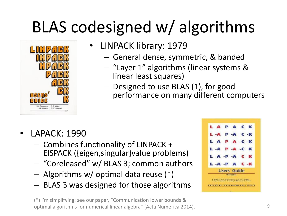# BLAS codesigned w/ algorithms



- LINPACK library: 1979
	- General dense, symmetric, & banded
	- "Layer 1" algorithms (linear systems & linear least squares)
	- Designed to use BLAS (1), for good performance on many different computers

- LAPACK: 1990
	- Combines functionality of LINPACK + EISPACK ({eigen,singular}value problems)
	- "Coreleased" w/ BLAS 3; common authors
	- Algorithms w/ optimal data reuse (\*)
	- BLAS 3 was designed for those algorithms

(\*) I'm simplifying: see our paper, "Communication lower bounds & optimal algorithms for numerical linear algebra" (Acta Numerica 2014).

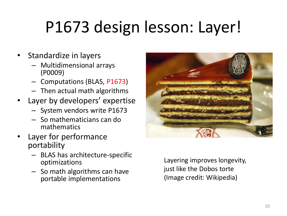# P1673 design lesson: Layer!

- Standardize in layers
	- Multidimensional arrays (P0009)
	- Computations (BLAS, P1673)
	- Then actual math algorithms
- Layer by developers' expertise
	- System vendors write P1673
	- So mathematicians can do mathematics
- Layer for performance portability
	- BLAS has architecture-specific optimizations
	- So math algorithms can have portable implementations



Layering improves longevity, just like the Dobos torte (Image credit: Wikipedia)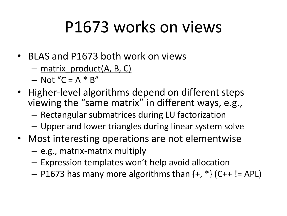#### P1673 works on views

- BLAS and P1673 both work on views
	- matrix\_product(A, B, C)
	- $-$  Not "C = A  $*$  B"
- Higher-level algorithms depend on different steps viewing the "same matrix" in different ways, e.g.,
	- Rectangular submatrices during LU factorization
	- Upper and lower triangles during linear system solve
- Most interesting operations are not elementwise
	- e.g., matrix-matrix multiply
	- Expression templates won't help avoid allocation
	- $-$  P1673 has many more algorithms than  $\{+, *\}$  (C++ != APL)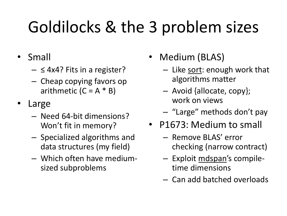# Goldilocks & the 3 problem sizes

- Small
	- $\leq$  4x4? Fits in a register?
	- Cheap copying favors op arithmetic  $(C = A * B)$
- **Large** 
	- Need 64-bit dimensions? Won't fit in memory?
	- Specialized algorithms and data structures (my field)
	- Which often have mediumsized subproblems
- Medium (BLAS)
	- Like sort: enough work that algorithms matter
	- Avoid {allocate, copy}; work on views
	- "Large" methods don't pay
- P1673: Medium to small
	- Remove BLAS' error checking (narrow contract)
	- Exploit mdspan's compiletime dimensions
	- Can add batched overloads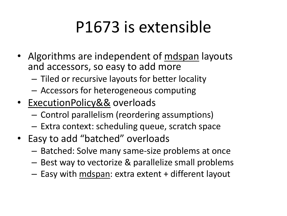## P1673 is extensible

- Algorithms are independent of mdspan layouts and accessors, so easy to add more
	- Tiled or recursive layouts for better locality
	- Accessors for heterogeneous computing
- ExecutionPolicy&& overloads
	- Control parallelism (reordering assumptions)
	- Extra context: scheduling queue, scratch space
- Easy to add "batched" overloads
	- Batched: Solve many same-size problems at once
	- Best way to vectorize & parallelize small problems
	- Easy with mdspan: extra extent + different layout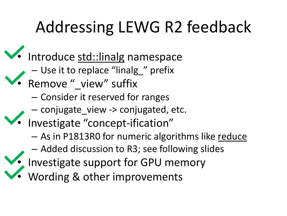# Addressing LEWG R2 feedback

- Introduce std::linalg namespace
	- Use it to replace "linalg\_" prefix
- Remove "\_view" suffix
	- Consider it reserved for ranges
	- conjugate\_view -> conjugated, etc.
- Investigate "concept-ification"
	- As in P1813R0 for numeric algorithms like reduce
	- Added discussion to R3; see following slides
	- Investigate support for GPU memory
- Wording & other improvements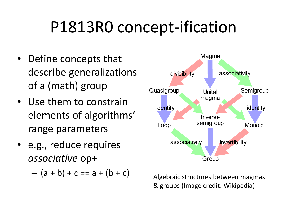#### P1813R0 concept-ification

- Define concepts that describe generalizations of a (math) group
- Use them to constrain elements of algorithms' range parameters
- e.g., reduce requires *associative* op+

 $-$  (a + b) + c == a + (b + c)



Algebraic structures between magmas & groups (Image credit: Wikipedia)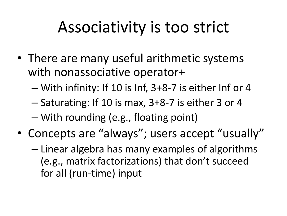#### Associativity is too strict

- There are many useful arithmetic systems with nonassociative operator+
	- With infinity: If 10 is Inf, 3+8-7 is either Inf or 4
	- Saturating: If 10 is max, 3+8-7 is either 3 or 4
	- With rounding (e.g., floating point)
- Concepts are "always"; users accept "usually"
	- Linear algebra has many examples of algorithms (e.g., matrix factorizations) that don't succeed for all (run-time) input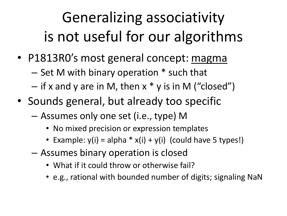#### Generalizing associativity is not useful for our algorithms

- P1813R0's most general concept: magma
	- Set M with binary operation \* such that
	- $-$  if x and y are in M, then x  $*$  y is in M ("closed")
- Sounds general, but already too specific
	- Assumes only one set (i.e., type) M
		- No mixed precision or expression templates
		- Example:  $y(i) = alpha * x(i) + y(i)$  (could have 5 types!)
	- Assumes binary operation is closed
		- What if it could throw or otherwise fail?
		- e.g., rational with bounded number of digits; signaling NaN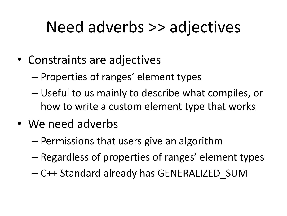#### Need adverbs >> adjectives

- Constraints are adjectives
	- Properties of ranges' element types
	- Useful to us mainly to describe what compiles, or how to write a custom element type that works
- We need adverbs
	- Permissions that users give an algorithm
	- Regardless of properties of ranges' element types
	- C++ Standard already has GENERALIZED\_SUM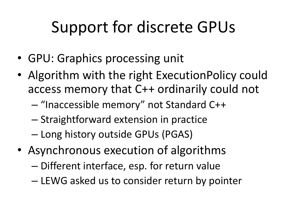# Support for discrete GPUs

- GPU: Graphics processing unit
- Algorithm with the right ExecutionPolicy could access memory that C++ ordinarily could not
	- "Inaccessible memory" not Standard C++
	- Straightforward extension in practice
	- Long history outside GPUs (PGAS)
- Asynchronous execution of algorithms
	- Different interface, esp. for return value
	- LEWG asked us to consider return by pointer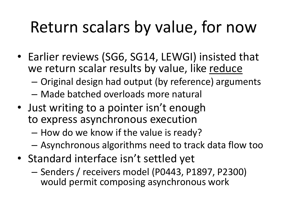#### Return scalars by value, for now

- Earlier reviews (SG6, SG14, LEWGI) insisted that we return scalar results by value, like reduce
	- Original design had output (by reference) arguments
	- Made batched overloads more natural
- Just writing to a pointer isn't enough to express asynchronous execution
	- How do we know if the value is ready?
	- Asynchronous algorithms need to track data flow too
- Standard interface isn't settled yet
	- Senders / receivers model (P0443, P1897, P2300) would permit composing asynchronous work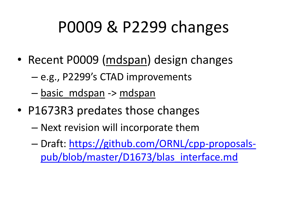# P0009 & P2299 changes

- Recent P0009 (mdspan) design changes
	- e.g., P2299's CTAD improvements
	- basic mdspan -> mdspan
- P1673R3 predates those changes
	- Next revision will incorporate them
	- [Draft: https://github.com/ORNL/cpp-proposals](https://github.com/ORNL/cpp-proposals-pub/blob/master/D1673/blas_interface.md)pub/blob/master/D1673/blas\_interface.md